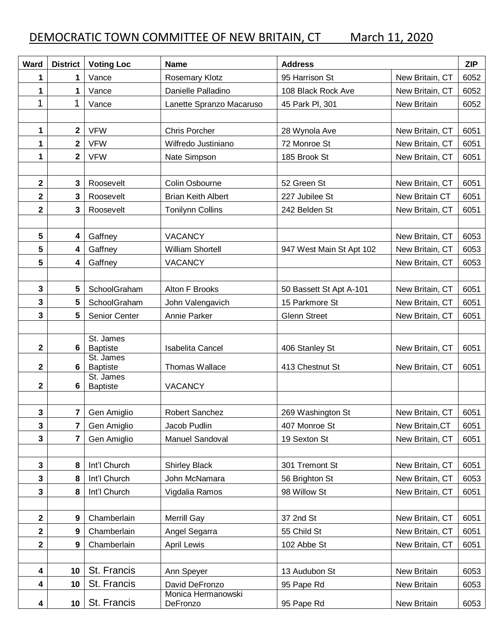## DEMOCRATIC TOWN COMMITTEE OF NEW BRITAIN, CT March 11, 2020

| Ward                    | <b>District</b>         | <b>Voting Loc</b>            | <b>Name</b>                    | <b>Address</b>           |                    | <b>ZIP</b> |
|-------------------------|-------------------------|------------------------------|--------------------------------|--------------------------|--------------------|------------|
| 1                       | 1                       | Vance                        | <b>Rosemary Klotz</b>          | 95 Harrison St           | New Britain, CT    | 6052       |
| 1                       | 1                       | Vance                        | Danielle Palladino             | 108 Black Rock Ave       | New Britain, CT    | 6052       |
| 1                       | 1                       | Vance                        | Lanette Spranzo Macaruso       | 45 Park Pl, 301          | <b>New Britain</b> | 6052       |
|                         |                         |                              |                                |                          |                    |            |
| 1                       | $\mathbf{2}$            | <b>VFW</b>                   | <b>Chris Porcher</b>           | 28 Wynola Ave            | New Britain, CT    | 6051       |
| 1                       | $\overline{\mathbf{2}}$ | <b>VFW</b>                   | Wilfredo Justiniano            | 72 Monroe St             | New Britain, CT    | 6051       |
| 1                       | $\overline{\mathbf{2}}$ | <b>VFW</b>                   | Nate Simpson                   | 185 Brook St             | New Britain, CT    | 6051       |
|                         |                         |                              |                                |                          |                    |            |
| 2                       | 3                       | Roosevelt                    | Colin Osbourne                 | 52 Green St              | New Britain, CT    | 6051       |
| 2                       | 3                       | Roosevelt                    | <b>Brian Keith Albert</b>      | 227 Jubilee St           | New Britain CT     | 6051       |
| $\overline{\mathbf{2}}$ | 3                       | Roosevelt                    | <b>Tonilynn Collins</b>        | 242 Belden St            | New Britain, CT    | 6051       |
|                         |                         |                              |                                |                          |                    |            |
| 5                       | 4                       | Gaffney                      | <b>VACANCY</b>                 |                          | New Britain, CT    | 6053       |
| 5                       | 4                       | Gaffney                      | <b>William Shortell</b>        | 947 West Main St Apt 102 | New Britain, CT    | 6053       |
| 5                       | 4                       | Gaffney                      | <b>VACANCY</b>                 |                          | New Britain, CT    | 6053       |
|                         |                         |                              |                                |                          |                    |            |
| 3                       | 5                       | SchoolGraham                 | Alton F Brooks                 | 50 Bassett St Apt A-101  | New Britain, CT    | 6051       |
| 3                       | 5                       | SchoolGraham                 | John Valengavich               | 15 Parkmore St           | New Britain, CT    | 6051       |
| 3                       | 5                       | Senior Center                | Annie Parker                   | <b>Glenn Street</b>      | New Britain, CT    | 6051       |
|                         |                         |                              |                                |                          |                    |            |
| $\overline{\mathbf{2}}$ | 6                       | St. James<br><b>Baptiste</b> | <b>Isabelita Cancel</b>        | 406 Stanley St           | New Britain, CT    | 6051       |
|                         |                         | St. James                    |                                |                          |                    |            |
| $\overline{\mathbf{2}}$ | 6                       | <b>Baptiste</b><br>St. James | Thomas Wallace                 | 413 Chestnut St          | New Britain, CT    | 6051       |
| 2                       | 6                       | <b>Baptiste</b>              | <b>VACANCY</b>                 |                          |                    |            |
|                         |                         |                              |                                |                          |                    |            |
| 3                       | 7                       | Gen Amiglio                  | Robert Sanchez                 | 269 Washington St        | New Britain, CT    | 6051       |
| 3                       | 7                       | Gen Amiglio                  | Jacob Pudlin                   | 407 Monroe St            | New Britain, CT    | 6051       |
| 3                       | 7                       | Gen Amiglio                  | Manuel Sandoval                | 19 Sexton St             | New Britain, CT    | 6051       |
|                         |                         |                              |                                |                          |                    |            |
| 3                       | 8                       | Int'l Church                 | <b>Shirley Black</b>           | 301 Tremont St           | New Britain, CT    | 6051       |
| 3                       | 8                       | Int'l Church                 | John McNamara                  | 56 Brighton St           | New Britain, CT    | 6053       |
| 3                       | 8                       | Int'l Church                 | Vigdalia Ramos                 | 98 Willow St             | New Britain, CT    | 6051       |
|                         |                         |                              |                                |                          |                    |            |
| 2                       | 9                       | Chamberlain                  | <b>Merrill Gay</b>             | 37 2nd St                | New Britain, CT    | 6051       |
| 2                       | 9                       | Chamberlain                  | Angel Segarra                  | 55 Child St              | New Britain, CT    | 6051       |
| 2                       | 9                       | Chamberlain                  | April Lewis                    | 102 Abbe St              | New Britain, CT    | 6051       |
|                         |                         |                              |                                |                          |                    |            |
| 4                       | 10                      | St. Francis                  | Ann Speyer                     | 13 Audubon St            | <b>New Britain</b> | 6053       |
| 4                       | 10                      | St. Francis                  | David DeFronzo                 | 95 Pape Rd               | New Britain        | 6053       |
| 4                       | 10                      | St. Francis                  | Monica Hermanowski<br>DeFronzo | 95 Pape Rd               | New Britain        | 6053       |
|                         |                         |                              |                                |                          |                    |            |